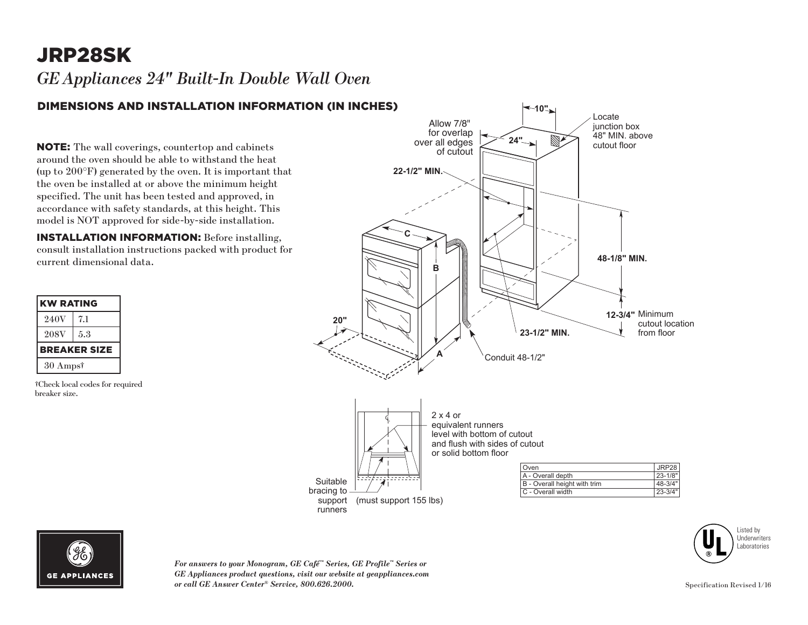# JRP28SK

*GEAppliances 24" Built-In Double Wall Oven*

#### DIMENSIONS AND INSTALLATION INFORMATION (IN INCHES)

NOTE: The wall coverings, countertop and cabinets around the oven should be able to withstand the heat (up to 200°F) generated by the oven. It is important that the oven be installed at or above the minimum height specified. The unit has been tested and approved, in accordance with safety standards, at this height. This model is NOT approved for side-by-side installation.

INSTALLATION INFORMATION: Before installing, consult installation instructions packed with product for current dimensional data.

| <b>KW RATING</b>    |     |
|---------------------|-----|
| 240V                | 7.1 |
| 208V                | 5.3 |
| <b>BREAKER SIZE</b> |     |
| $30 \text{ Amps}^*$ |     |
|                     |     |

**GE APPLIANCES** 

†Check local codes for required breaker size.